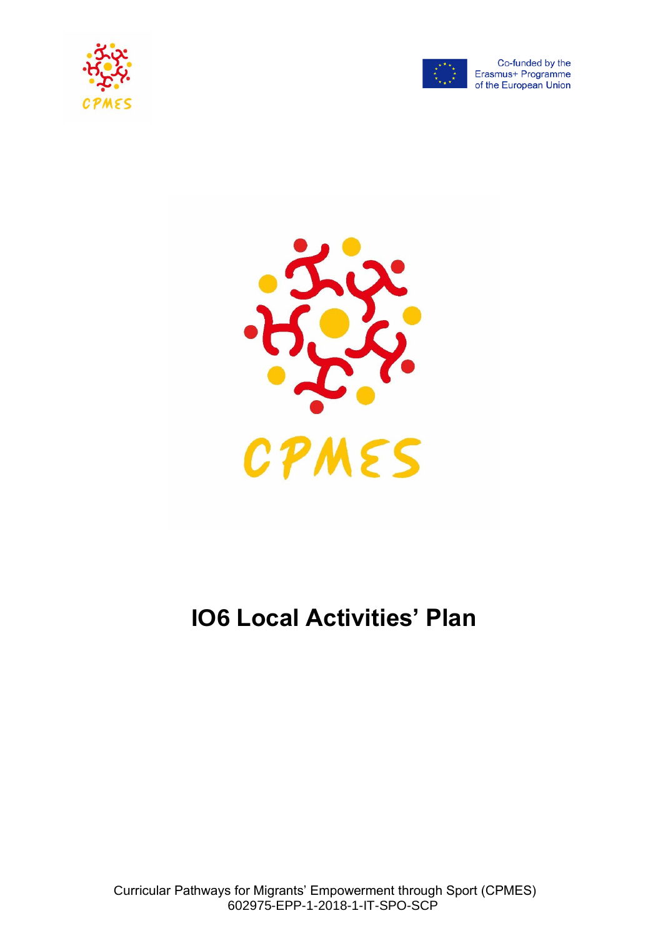



Co-funded by the Erasmus+ Programme of the European Union



# **IO6 Local Activities' Plan**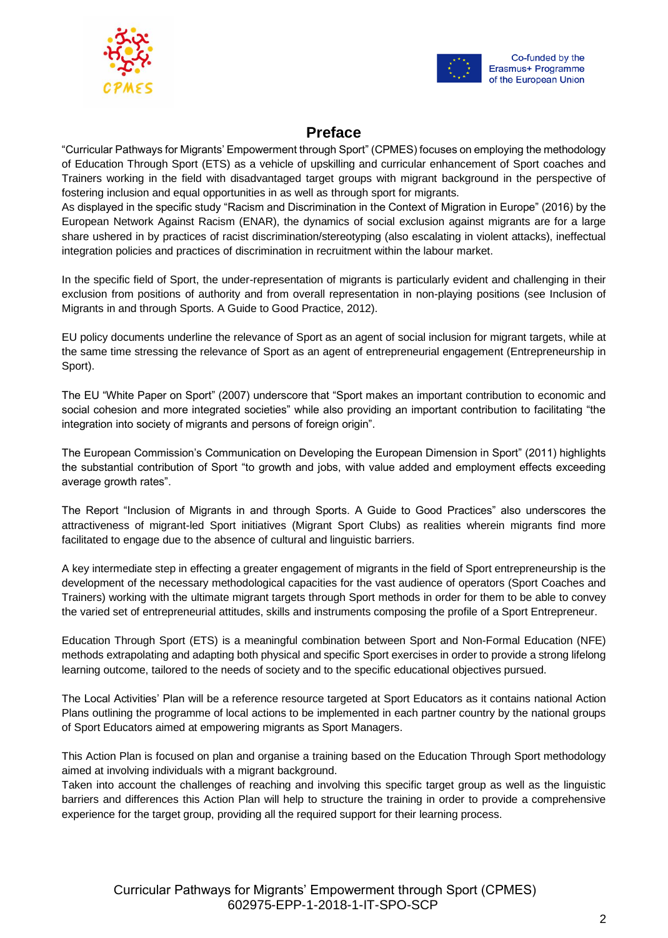



# Erasmus+ Programme of the European Union

# **Preface**

"Curricular Pathways for Migrants' Empowerment through Sport" (CPMES) focuses on employing the methodology of Education Through Sport (ETS) as a vehicle of upskilling and curricular enhancement of Sport coaches and Trainers working in the field with disadvantaged target groups with migrant background in the perspective of fostering inclusion and equal opportunities in as well as through sport for migrants.

As displayed in the specific study "Racism and Discrimination in the Context of Migration in Europe" (2016) by the European Network Against Racism (ENAR), the dynamics of social exclusion against migrants are for a large share ushered in by practices of racist discrimination/stereotyping (also escalating in violent attacks), ineffectual integration policies and practices of discrimination in recruitment within the labour market.

In the specific field of Sport, the under-representation of migrants is particularly evident and challenging in their exclusion from positions of authority and from overall representation in non-playing positions (see Inclusion of Migrants in and through Sports. A Guide to Good Practice, 2012).

EU policy documents underline the relevance of Sport as an agent of social inclusion for migrant targets, while at the same time stressing the relevance of Sport as an agent of entrepreneurial engagement (Entrepreneurship in Sport).

The EU "White Paper on Sport" (2007) underscore that "Sport makes an important contribution to economic and social cohesion and more integrated societies" while also providing an important contribution to facilitating "the integration into society of migrants and persons of foreign origin".

The European Commission's Communication on Developing the European Dimension in Sport" (2011) highlights the substantial contribution of Sport "to growth and jobs, with value added and employment effects exceeding average growth rates".

The Report "Inclusion of Migrants in and through Sports. A Guide to Good Practices" also underscores the attractiveness of migrant-led Sport initiatives (Migrant Sport Clubs) as realities wherein migrants find more facilitated to engage due to the absence of cultural and linguistic barriers.

A key intermediate step in effecting a greater engagement of migrants in the field of Sport entrepreneurship is the development of the necessary methodological capacities for the vast audience of operators (Sport Coaches and Trainers) working with the ultimate migrant targets through Sport methods in order for them to be able to convey the varied set of entrepreneurial attitudes, skills and instruments composing the profile of a Sport Entrepreneur.

Education Through Sport (ETS) is a meaningful combination between Sport and Non-Formal Education (NFE) methods extrapolating and adapting both physical and specific Sport exercises in order to provide a strong lifelong learning outcome, tailored to the needs of society and to the specific educational objectives pursued.

The Local Activities' Plan will be a reference resource targeted at Sport Educators as it contains national Action Plans outlining the programme of local actions to be implemented in each partner country by the national groups of Sport Educators aimed at empowering migrants as Sport Managers.

This Action Plan is focused on plan and organise a training based on the Education Through Sport methodology aimed at involving individuals with a migrant background.

Taken into account the challenges of reaching and involving this specific target group as well as the linguistic barriers and differences this Action Plan will help to structure the training in order to provide a comprehensive experience for the target group, providing all the required support for their learning process.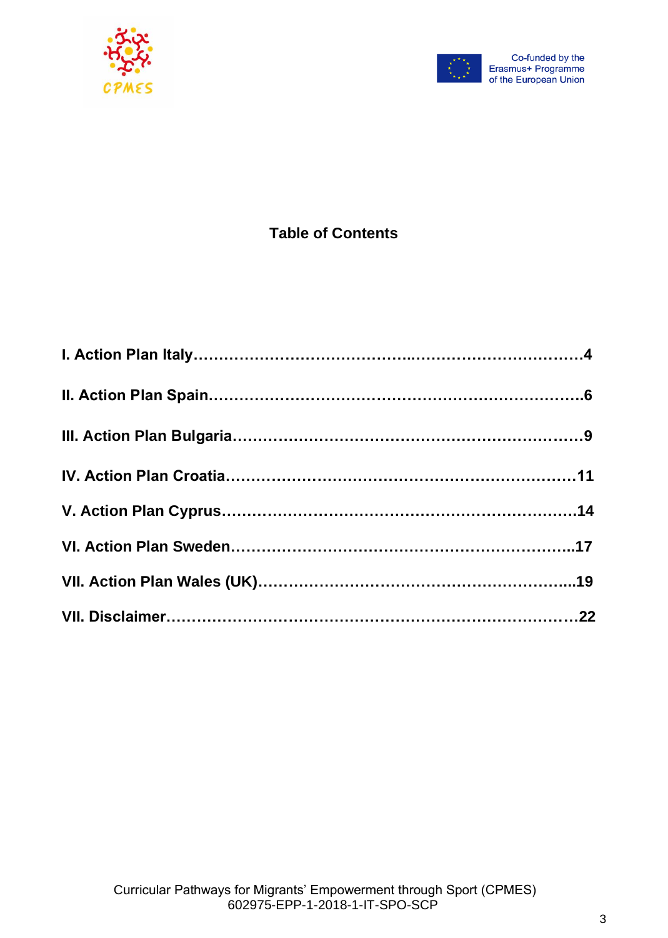



# **Table of Contents**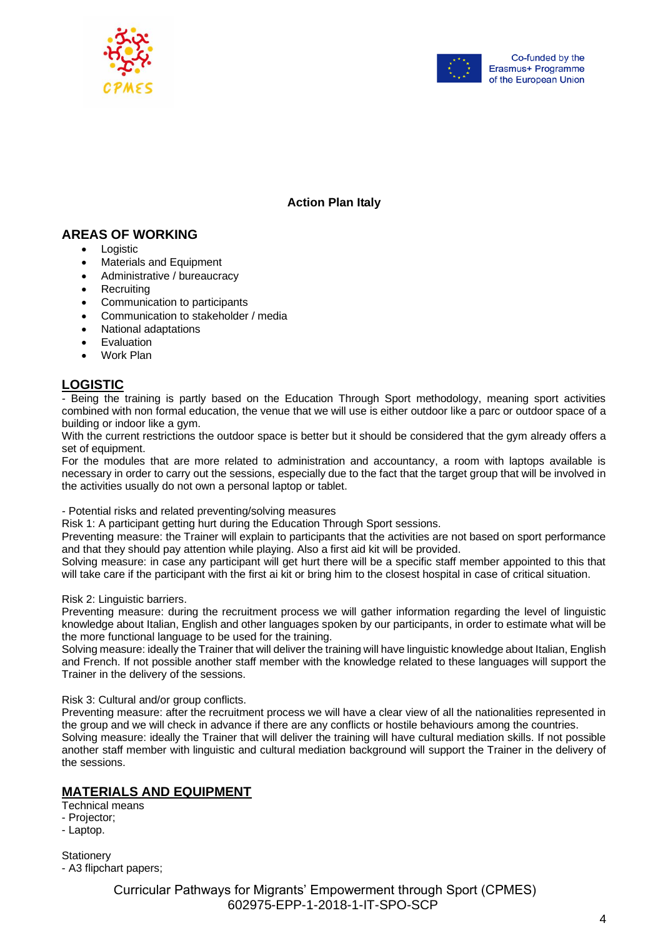



# **Action Plan Italy**

# **AREAS OF WORKING**

- **Logistic**
- Materials and Equipment
- Administrative / bureaucracy
- **Recruiting**
- Communication to participants
- Communication to stakeholder / media
- National adaptations
- **Evaluation**
- Work Plan

# **LOGISTIC**

*-* Being the training is partly based on the Education Through Sport methodology, meaning sport activities combined with non formal education, the venue that we will use is either outdoor like a parc or outdoor space of a building or indoor like a gym.

With the current restrictions the outdoor space is better but it should be considered that the gym already offers a set of equipment.

For the modules that are more related to administration and accountancy, a room with laptops available is necessary in order to carry out the sessions, especially due to the fact that the target group that will be involved in the activities usually do not own a personal laptop or tablet.

*-* Potential risks and related preventing/solving measures

Risk 1: A participant getting hurt during the Education Through Sport sessions.

Preventing measure: the Trainer will explain to participants that the activities are not based on sport performance and that they should pay attention while playing. Also a first aid kit will be provided.

Solving measure: in case any participant will get hurt there will be a specific staff member appointed to this that will take care if the participant with the first ai kit or bring him to the closest hospital in case of critical situation.

Risk 2: Linguistic barriers.

Preventing measure: during the recruitment process we will gather information regarding the level of linguistic knowledge about Italian, English and other languages spoken by our participants, in order to estimate what will be the more functional language to be used for the training.

Solving measure: ideally the Trainer that will deliver the training will have linguistic knowledge about Italian, English and French. If not possible another staff member with the knowledge related to these languages will support the Trainer in the delivery of the sessions.

# Risk 3: Cultural and/or group conflicts.

Preventing measure: after the recruitment process we will have a clear view of all the nationalities represented in the group and we will check in advance if there are any conflicts or hostile behaviours among the countries.

Solving measure: ideally the Trainer that will deliver the training will have cultural mediation skills. If not possible another staff member with linguistic and cultural mediation background will support the Trainer in the delivery of the sessions.

# **MATERIALS AND EQUIPMENT**

Technical means

- Projector;
- Laptop.

**Stationery** 

- A3 flipchart papers;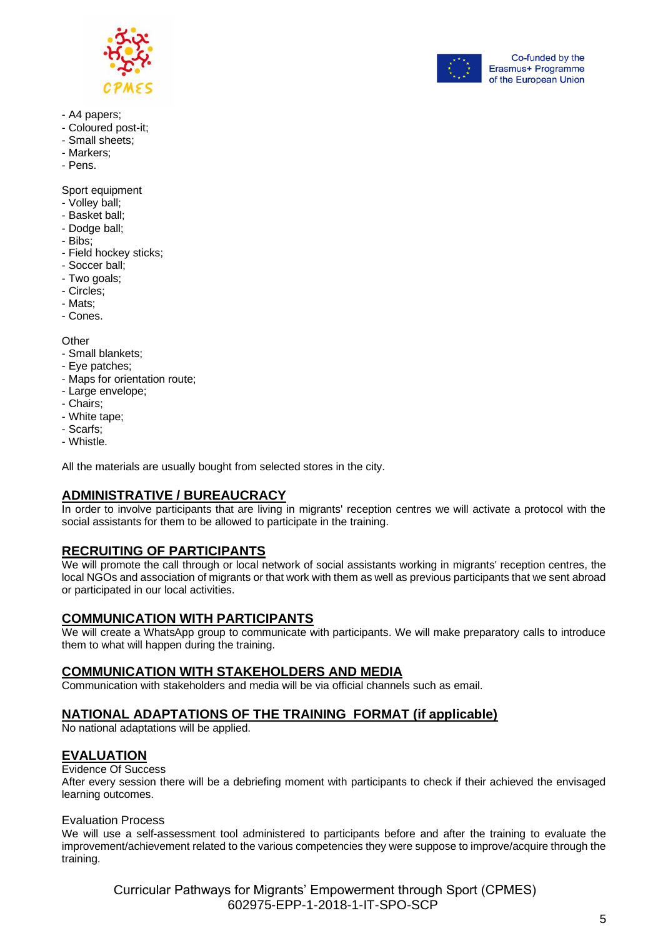



- A4 papers;
- Coloured post-it;
- Small sheets;
- Markers;
- Pens.

Sport equipment

- Volley ball;
- Basket ball;
- Dodge ball;
- Bibs;
- Field hockey sticks;
- Soccer ball;
- Two goals;
- Circles;
- Mats;
- Cones.

**Other** 

- Small blankets;
- Eye patches;
- Maps for orientation route;
- Large envelope;
- Chairs;
- White tape;
- Scarfs;
- Whistle.

All the materials are usually bought from selected stores in the city.

# **ADMINISTRATIVE / BUREAUCRACY**

In order to involve participants that are living in migrants' reception centres we will activate a protocol with the social assistants for them to be allowed to participate in the training.

# **RECRUITING OF PARTICIPANTS**

We will promote the call through or local network of social assistants working in migrants' reception centres, the local NGOs and association of migrants or that work with them as well as previous participants that we sent abroad or participated in our local activities.

# **COMMUNICATION WITH PARTICIPANTS**

We will create a WhatsApp group to communicate with participants. We will make preparatory calls to introduce them to what will happen during the training.

# **COMMUNICATION WITH STAKEHOLDERS AND MEDIA**

Communication with stakeholders and media will be via official channels such as email.

# **NATIONAL ADAPTATIONS OF THE TRAINING FORMAT (if applicable)**

No national adaptations will be applied.

# **EVALUATION**

#### Evidence Of Success

After every session there will be a debriefing moment with participants to check if their achieved the envisaged learning outcomes.

# Evaluation Process

We will use a self-assessment tool administered to participants before and after the training to evaluate the improvement/achievement related to the various competencies they were suppose to improve/acquire through the training.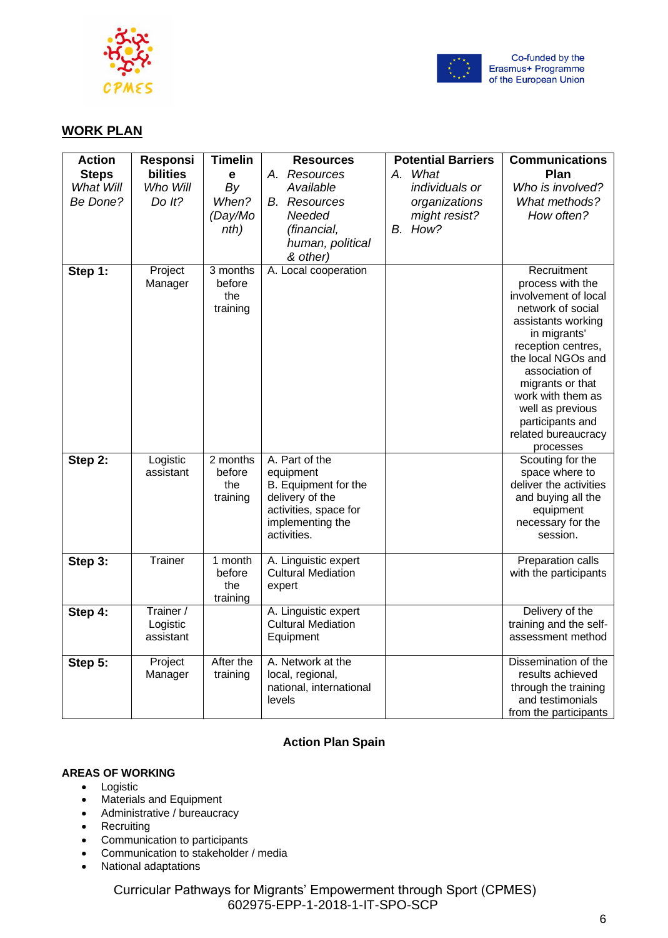



# **WORK PLAN**

| <b>Action</b>         | <b>Responsi</b>    | <b>Timelin</b>  | <b>Resources</b>                  | <b>Potential Barriers</b>       | <b>Communications</b>                    |
|-----------------------|--------------------|-----------------|-----------------------------------|---------------------------------|------------------------------------------|
| <b>Steps</b>          | bilities           | e               | A. Resources                      | A. What                         | Plan                                     |
| What Will<br>Be Done? | Who Will<br>Do It? | By<br>When?     | Available<br><b>B.</b> Resources  | individuals or<br>organizations | Who is involved?<br>What methods?        |
|                       |                    | (Day/Mo         | Needed                            | might resist?                   | How often?                               |
|                       |                    | nth)            | (financial,                       | B. How?                         |                                          |
|                       |                    |                 | human, political                  |                                 |                                          |
|                       |                    |                 | & other)                          |                                 |                                          |
| Step 1:               | Project            | 3 months        | A. Local cooperation              |                                 | Recruitment                              |
|                       | Manager            | before<br>the   |                                   |                                 | process with the<br>involvement of local |
|                       |                    | training        |                                   |                                 | network of social                        |
|                       |                    |                 |                                   |                                 | assistants working                       |
|                       |                    |                 |                                   |                                 | in migrants'                             |
|                       |                    |                 |                                   |                                 | reception centres,<br>the local NGOs and |
|                       |                    |                 |                                   |                                 | association of                           |
|                       |                    |                 |                                   |                                 | migrants or that                         |
|                       |                    |                 |                                   |                                 | work with them as                        |
|                       |                    |                 |                                   |                                 | well as previous                         |
|                       |                    |                 |                                   |                                 | participants and<br>related bureaucracy  |
|                       |                    |                 |                                   |                                 | processes                                |
| Step 2:               | Logistic           | 2 months        | A. Part of the                    |                                 | Scouting for the                         |
|                       | assistant          | before          | equipment<br>B. Equipment for the |                                 | space where to<br>deliver the activities |
|                       |                    | the<br>training | delivery of the                   |                                 | and buying all the                       |
|                       |                    |                 | activities, space for             |                                 | equipment                                |
|                       |                    |                 | implementing the                  |                                 | necessary for the                        |
|                       |                    |                 | activities.                       |                                 | session.                                 |
| Step 3:               | Trainer            | 1 month         | A. Linguistic expert              |                                 | Preparation calls                        |
|                       |                    | before          | <b>Cultural Mediation</b>         |                                 | with the participants                    |
|                       |                    | the<br>training | expert                            |                                 |                                          |
| Step 4:               | Trainer /          |                 | A. Linguistic expert              |                                 | Delivery of the                          |
|                       | Logistic           |                 | <b>Cultural Mediation</b>         |                                 | training and the self-                   |
|                       | assistant          |                 | Equipment                         |                                 | assessment method                        |
| Step 5:               | Project            | After the       | A. Network at the                 |                                 | Dissemination of the                     |
|                       | Manager            | training        | local, regional,                  |                                 | results achieved                         |
|                       |                    |                 | national, international<br>levels |                                 | through the training<br>and testimonials |
|                       |                    |                 |                                   |                                 | from the participants                    |

# **Action Plan Spain**

# **AREAS OF WORKING**

- Logistic
- Materials and Equipment
- Administrative / bureaucracy
- Recruiting
- Communication to participants
- Communication to stakeholder / media
- National adaptations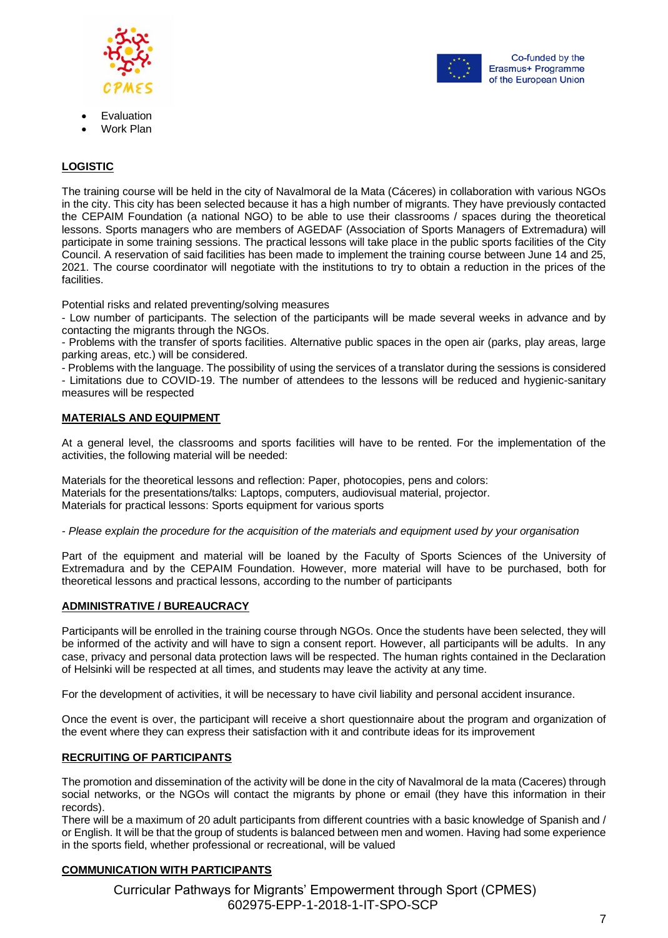



- **Evaluation**
- Work Plan

# **LOGISTIC**

The training course will be held in the city of Navalmoral de la Mata (Cáceres) in collaboration with various NGOs in the city. This city has been selected because it has a high number of migrants. They have previously contacted the CEPAIM Foundation (a national NGO) to be able to use their classrooms / spaces during the theoretical lessons. Sports managers who are members of AGEDAF (Association of Sports Managers of Extremadura) will participate in some training sessions. The practical lessons will take place in the public sports facilities of the City Council. A reservation of said facilities has been made to implement the training course between June 14 and 25, 2021. The course coordinator will negotiate with the institutions to try to obtain a reduction in the prices of the facilities.

Potential risks and related preventing/solving measures

- Low number of participants. The selection of the participants will be made several weeks in advance and by contacting the migrants through the NGOs.

- Problems with the transfer of sports facilities. Alternative public spaces in the open air (parks, play areas, large parking areas, etc.) will be considered.

- Problems with the language. The possibility of using the services of a translator during the sessions is considered

- Limitations due to COVID-19. The number of attendees to the lessons will be reduced and hygienic-sanitary measures will be respected

# **MATERIALS AND EQUIPMENT**

At a general level, the classrooms and sports facilities will have to be rented. For the implementation of the activities, the following material will be needed:

Materials for the theoretical lessons and reflection: Paper, photocopies, pens and colors: Materials for the presentations/talks: Laptops, computers, audiovisual material, projector. Materials for practical lessons: Sports equipment for various sports

*- Please explain the procedure for the acquisition of the materials and equipment used by your organisation*

Part of the equipment and material will be loaned by the Faculty of Sports Sciences of the University of Extremadura and by the CEPAIM Foundation. However, more material will have to be purchased, both for theoretical lessons and practical lessons, according to the number of participants

# **ADMINISTRATIVE / BUREAUCRACY**

Participants will be enrolled in the training course through NGOs. Once the students have been selected, they will be informed of the activity and will have to sign a consent report. However, all participants will be adults. In any case, privacy and personal data protection laws will be respected. The human rights contained in the Declaration of Helsinki will be respected at all times, and students may leave the activity at any time.

For the development of activities, it will be necessary to have civil liability and personal accident insurance.

Once the event is over, the participant will receive a short questionnaire about the program and organization of the event where they can express their satisfaction with it and contribute ideas for its improvement

# **RECRUITING OF PARTICIPANTS**

The promotion and dissemination of the activity will be done in the city of Navalmoral de la mata (Caceres) through social networks, or the NGOs will contact the migrants by phone or email (they have this information in their records).

There will be a maximum of 20 adult participants from different countries with a basic knowledge of Spanish and / or English. It will be that the group of students is balanced between men and women. Having had some experience in the sports field, whether professional or recreational, will be valued

# **COMMUNICATION WITH PARTICIPANTS**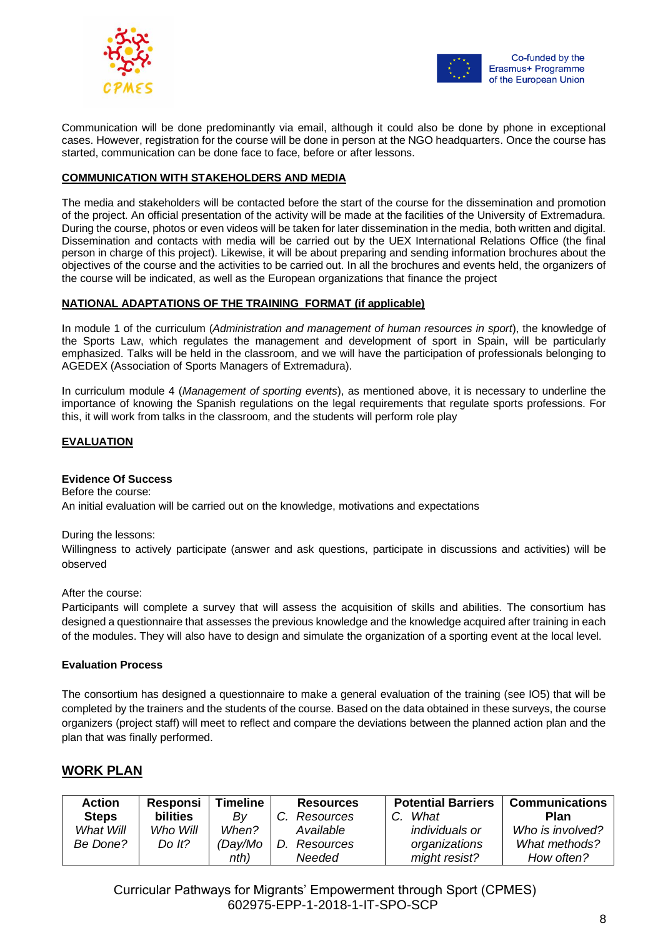



Communication will be done predominantly via email, although it could also be done by phone in exceptional cases. However, registration for the course will be done in person at the NGO headquarters. Once the course has started, communication can be done face to face, before or after lessons.

# **COMMUNICATION WITH STAKEHOLDERS AND MEDIA**

The media and stakeholders will be contacted before the start of the course for the dissemination and promotion of the project. An official presentation of the activity will be made at the facilities of the University of Extremadura. During the course, photos or even videos will be taken for later dissemination in the media, both written and digital. Dissemination and contacts with media will be carried out by the UEX International Relations Office (the final person in charge of this project). Likewise, it will be about preparing and sending information brochures about the objectives of the course and the activities to be carried out. In all the brochures and events held, the organizers of the course will be indicated, as well as the European organizations that finance the project

#### **NATIONAL ADAPTATIONS OF THE TRAINING FORMAT (if applicable)**

In module 1 of the curriculum (*Administration and management of human resources in sport*), the knowledge of the Sports Law, which regulates the management and development of sport in Spain, will be particularly emphasized. Talks will be held in the classroom, and we will have the participation of professionals belonging to AGEDEX (Association of Sports Managers of Extremadura).

In curriculum module 4 (*Management of sporting events*), as mentioned above, it is necessary to underline the importance of knowing the Spanish regulations on the legal requirements that regulate sports professions. For this, it will work from talks in the classroom, and the students will perform role play

# **EVALUATION**

#### **Evidence Of Success**

Before the course: An initial evaluation will be carried out on the knowledge, motivations and expectations

#### During the lessons:

Willingness to actively participate (answer and ask questions, participate in discussions and activities) will be observed

After the course:

Participants will complete a survey that will assess the acquisition of skills and abilities. The consortium has designed a questionnaire that assesses the previous knowledge and the knowledge acquired after training in each of the modules. They will also have to design and simulate the organization of a sporting event at the local level.

#### **Evaluation Process**

The consortium has designed a questionnaire to make a general evaluation of the training (see IO5) that will be completed by the trainers and the students of the course. Based on the data obtained in these surveys, the course organizers (project staff) will meet to reflect and compare the deviations between the planned action plan and the plan that was finally performed.

# **WORK PLAN**

| <b>Action</b> | Responsi        | <b>Timeline</b> | <b>Resources</b> | <b>Potential Barriers</b> | <b>Communications</b> |
|---------------|-----------------|-----------------|------------------|---------------------------|-----------------------|
| <b>Steps</b>  | <b>bilities</b> | Bv              | Resources        | C. What                   | <b>Plan</b>           |
| What Will     | Who Will        | When?           | Available        | individuals or            | Who is involved?      |
| Be Done?      | Do $lt?$        | (Day/Mo         | D.<br>Resources  | organizations             | What methods?         |
|               |                 | nth)            | Needed           | might resist?             | How often?            |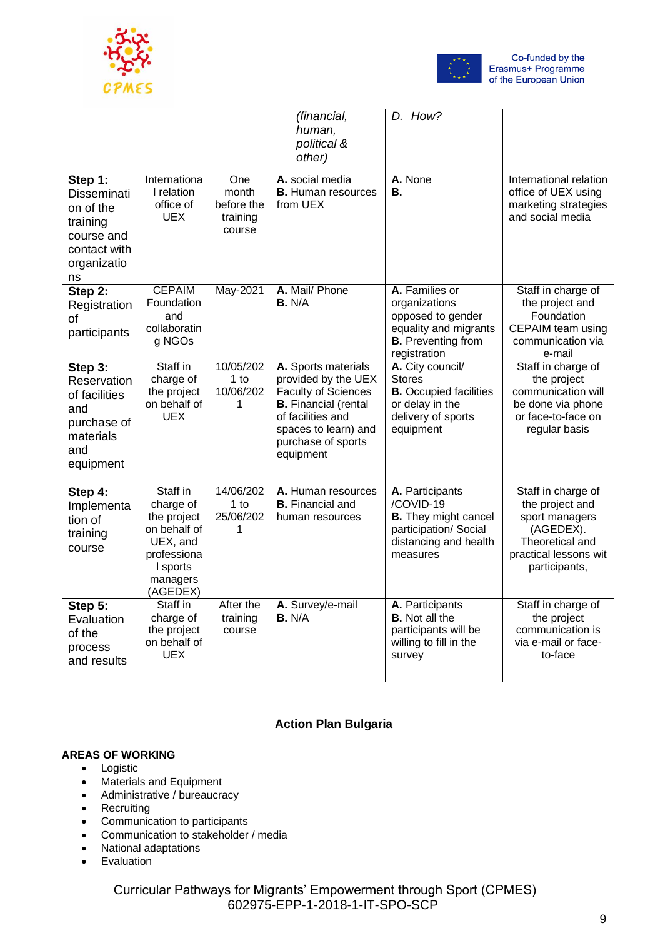



|                                                                                                           |                                                                                                                     |                                                  | (financial,<br>human,<br>political &<br>other)                                                                                                                                          | D. How?                                                                                                                    |                                                                                                                                   |
|-----------------------------------------------------------------------------------------------------------|---------------------------------------------------------------------------------------------------------------------|--------------------------------------------------|-----------------------------------------------------------------------------------------------------------------------------------------------------------------------------------------|----------------------------------------------------------------------------------------------------------------------------|-----------------------------------------------------------------------------------------------------------------------------------|
| Step 1:<br><b>Disseminati</b><br>on of the<br>training<br>course and<br>contact with<br>organizatio<br>ns | Internationa<br>I relation<br>office of<br><b>UEX</b>                                                               | One<br>month<br>before the<br>training<br>course | A. social media<br><b>B.</b> Human resources<br>from UEX                                                                                                                                | A. None<br>В.                                                                                                              | International relation<br>office of UEX using<br>marketing strategies<br>and social media                                         |
| Step 2:<br>Registration<br>of<br>participants                                                             | <b>CEPAIM</b><br>Foundation<br>and<br>collaboratin<br>g NGOs                                                        | May-2021                                         | A. Mail/ Phone<br><b>B.</b> N/A                                                                                                                                                         | A. Families or<br>organizations<br>opposed to gender<br>equality and migrants<br><b>B.</b> Preventing from<br>registration | Staff in charge of<br>the project and<br>Foundation<br>CEPAIM team using<br>communication via<br>e-mail                           |
| Step 3:<br>Reservation<br>of facilities<br>and<br>purchase of<br>materials<br>and<br>equipment            | Staff in<br>charge of<br>the project<br>on behalf of<br><b>UEX</b>                                                  | 10/05/202<br>$1$ to<br>10/06/202<br>1            | A. Sports materials<br>provided by the UEX<br><b>Faculty of Sciences</b><br><b>B.</b> Financial (rental<br>of facilities and<br>spaces to learn) and<br>purchase of sports<br>equipment | A. City council/<br><b>Stores</b><br><b>B.</b> Occupied facilities<br>or delay in the<br>delivery of sports<br>equipment   | Staff in charge of<br>the project<br>communication will<br>be done via phone<br>or face-to-face on<br>regular basis               |
| Step 4:<br>Implementa<br>tion of<br>training<br>course                                                    | Staff in<br>charge of<br>the project<br>on behalf of<br>UEX, and<br>professiona<br>I sports<br>managers<br>(AGEDEX) | 14/06/202<br>$1$ to<br>25/06/202                 | A. Human resources<br><b>B.</b> Financial and<br>human resources                                                                                                                        | A. Participants<br>/COVID-19<br><b>B.</b> They might cancel<br>participation/ Social<br>distancing and health<br>measures  | Staff in charge of<br>the project and<br>sport managers<br>(AGEDEX).<br>Theoretical and<br>practical lessons wit<br>participants, |
| Step 5:<br>Evaluation<br>of the<br>process<br>and results                                                 | Staff in<br>charge of<br>the project<br>on behalf of<br><b>UEX</b>                                                  | After the<br>training<br>course                  | A. Survey/e-mail<br><b>B.</b> N/A                                                                                                                                                       | A. Participants<br><b>B.</b> Not all the<br>participants will be<br>willing to fill in the<br>survey                       | Staff in charge of<br>the project<br>communication is<br>via e-mail or face-<br>to-face                                           |

# **Action Plan Bulgaria**

# **AREAS OF WORKING**

- Logistic
- Materials and Equipment
- Administrative / bureaucracy
- Recruiting
- Communication to participants
- Communication to stakeholder / media
- National adaptations
- Evaluation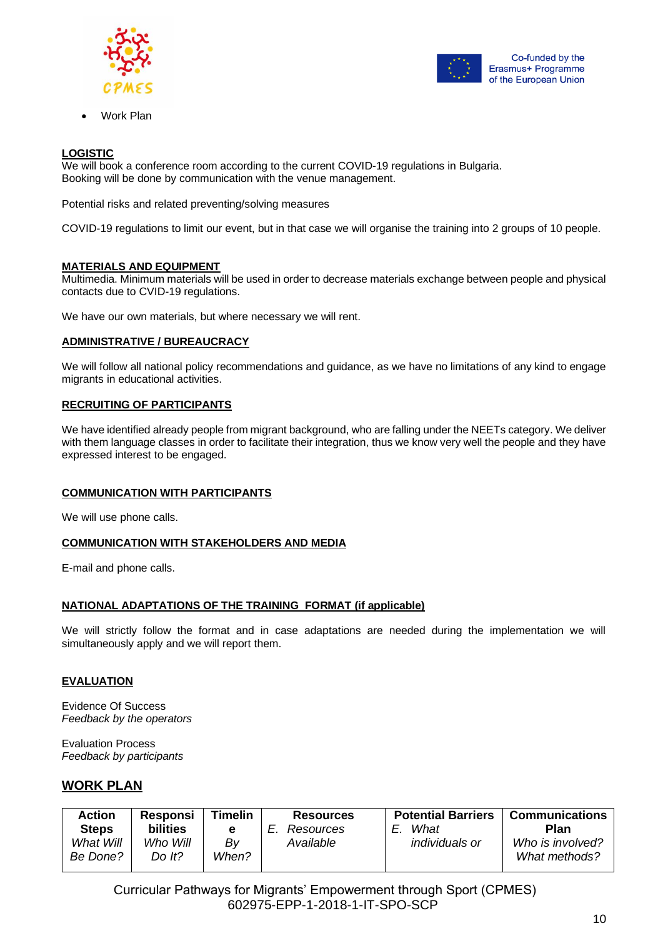



• Work Plan

# **LOGISTIC**

We will book a conference room according to the current COVID-19 regulations in Bulgaria. Booking will be done by communication with the venue management.

Potential risks and related preventing/solving measures

COVID-19 regulations to limit our event, but in that case we will organise the training into 2 groups of 10 people.

# **MATERIALS AND EQUIPMENT**

Multimedia. Minimum materials will be used in order to decrease materials exchange between people and physical contacts due to CVID-19 regulations.

We have our own materials, but where necessary we will rent.

# **ADMINISTRATIVE / BUREAUCRACY**

We will follow all national policy recommendations and guidance, as we have no limitations of any kind to engage migrants in educational activities.

# **RECRUITING OF PARTICIPANTS**

We have identified already people from migrant background, who are falling under the NEETs category. We deliver with them language classes in order to facilitate their integration, thus we know very well the people and they have expressed interest to be engaged.

# **COMMUNICATION WITH PARTICIPANTS**

We will use phone calls.

# **COMMUNICATION WITH STAKEHOLDERS AND MEDIA**

E-mail and phone calls.

# **NATIONAL ADAPTATIONS OF THE TRAINING FORMAT (if applicable)**

We will strictly follow the format and in case adaptations are needed during the implementation we will simultaneously apply and we will report them.

# **EVALUATION**

Evidence Of Success *Feedback by the operators*

Evaluation Process *Feedback by participants* 

# **WORK PLAN**

| <b>Action</b>             | <b>Responsi</b>             | Timelin | <b>Resources</b>              | <b>Potential Barriers</b>     | <b>Communications</b>    |
|---------------------------|-----------------------------|---------|-------------------------------|-------------------------------|--------------------------|
| <b>Steps</b><br>What Will | <b>bilities</b><br>Who Will | е<br>Bv | <b>Resources</b><br>Available | What<br><i>individuals or</i> | Plan<br>Who is involved? |
| Be Done?                  | Do It?                      | When?   |                               |                               | What methods?            |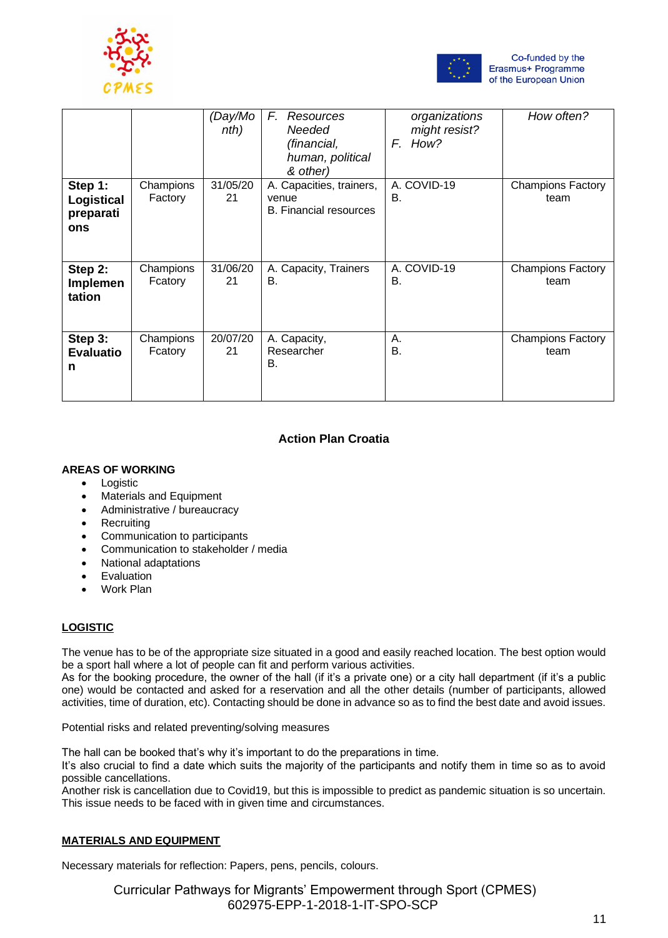



|                                           |                      | (Day/Mo<br>nth) | F.<br>Resources<br>Needed<br>(financial,<br>human, political<br>& other) | organizations<br>might resist?<br>F. How? | How often?                       |
|-------------------------------------------|----------------------|-----------------|--------------------------------------------------------------------------|-------------------------------------------|----------------------------------|
| Step 1:<br>Logistical<br>preparati<br>ons | Champions<br>Factory | 31/05/20<br>21  | A. Capacities, trainers,<br>venue<br><b>B.</b> Financial resources       | A. COVID-19<br>В.                         | <b>Champions Factory</b><br>team |
| Step 2:<br>Implemen<br>tation             | Champions<br>Fcatory | 31/06/20<br>21  | A. Capacity, Trainers<br>В.                                              | A. COVID-19<br>В.                         | <b>Champions Factory</b><br>team |
| Step 3:<br><b>Evaluatio</b><br>n          | Champions<br>Fcatory | 20/07/20<br>21  | A. Capacity,<br>Researcher<br>В.                                         | Α.<br>В.                                  | <b>Champions Factory</b><br>team |

# **Action Plan Croatia**

# **AREAS OF WORKING**

- Logistic
- Materials and Equipment
- Administrative / bureaucracy
- Recruiting
- Communication to participants
- Communication to stakeholder / media
- National adaptations
- Evaluation
- Work Plan

# **LOGISTIC**

The venue has to be of the appropriate size situated in a good and easily reached location. The best option would be a sport hall where a lot of people can fit and perform various activities.

As for the booking procedure, the owner of the hall (if it's a private one) or a city hall department (if it's a public one) would be contacted and asked for a reservation and all the other details (number of participants, allowed activities, time of duration, etc). Contacting should be done in advance so as to find the best date and avoid issues.

Potential risks and related preventing/solving measures

The hall can be booked that's why it's important to do the preparations in time.

It's also crucial to find a date which suits the majority of the participants and notify them in time so as to avoid possible cancellations.

Another risk is cancellation due to Covid19, but this is impossible to predict as pandemic situation is so uncertain. This issue needs to be faced with in given time and circumstances.

# **MATERIALS AND EQUIPMENT**

Necessary materials for reflection: Papers, pens, pencils, colours.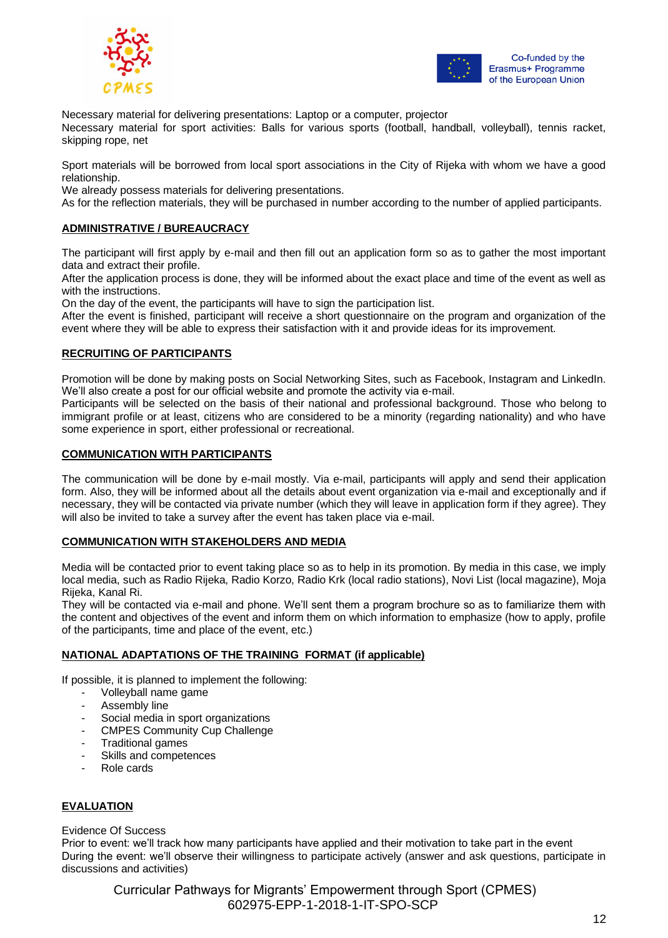



Necessary material for delivering presentations: Laptop or a computer, projector

Necessary material for sport activities: Balls for various sports (football, handball, volleyball), tennis racket, skipping rope, net

Sport materials will be borrowed from local sport associations in the City of Rijeka with whom we have a good relationship.

We already possess materials for delivering presentations.

As for the reflection materials, they will be purchased in number according to the number of applied participants.

#### **ADMINISTRATIVE / BUREAUCRACY**

The participant will first apply by e-mail and then fill out an application form so as to gather the most important data and extract their profile.

After the application process is done, they will be informed about the exact place and time of the event as well as with the instructions.

On the day of the event, the participants will have to sign the participation list.

After the event is finished, participant will receive a short questionnaire on the program and organization of the event where they will be able to express their satisfaction with it and provide ideas for its improvement.

#### **RECRUITING OF PARTICIPANTS**

Promotion will be done by making posts on Social Networking Sites, such as Facebook, Instagram and LinkedIn. We'll also create a post for our official website and promote the activity via e-mail.

Participants will be selected on the basis of their national and professional background. Those who belong to immigrant profile or at least, citizens who are considered to be a minority (regarding nationality) and who have some experience in sport, either professional or recreational.

#### **COMMUNICATION WITH PARTICIPANTS**

The communication will be done by e-mail mostly. Via e-mail, participants will apply and send their application form. Also, they will be informed about all the details about event organization via e-mail and exceptionally and if necessary, they will be contacted via private number (which they will leave in application form if they agree). They will also be invited to take a survey after the event has taken place via e-mail.

#### **COMMUNICATION WITH STAKEHOLDERS AND MEDIA**

Media will be contacted prior to event taking place so as to help in its promotion. By media in this case, we imply local media, such as Radio Rijeka, Radio Korzo, Radio Krk (local radio stations), Novi List (local magazine), Moja Rijeka, Kanal Ri.

They will be contacted via e-mail and phone. We'll sent them a program brochure so as to familiarize them with the content and objectives of the event and inform them on which information to emphasize (how to apply, profile of the participants, time and place of the event, etc.)

#### **NATIONAL ADAPTATIONS OF THE TRAINING FORMAT (if applicable)**

If possible, it is planned to implement the following:

- Volleyball name game
- Assembly line
- Social media in sport organizations
- CMPES Community Cup Challenge
- Traditional games
- Skills and competences
- Role cards

# **EVALUATION**

Evidence Of Success

Prior to event: we'll track how many participants have applied and their motivation to take part in the event During the event: we'll observe their willingness to participate actively (answer and ask questions, participate in discussions and activities)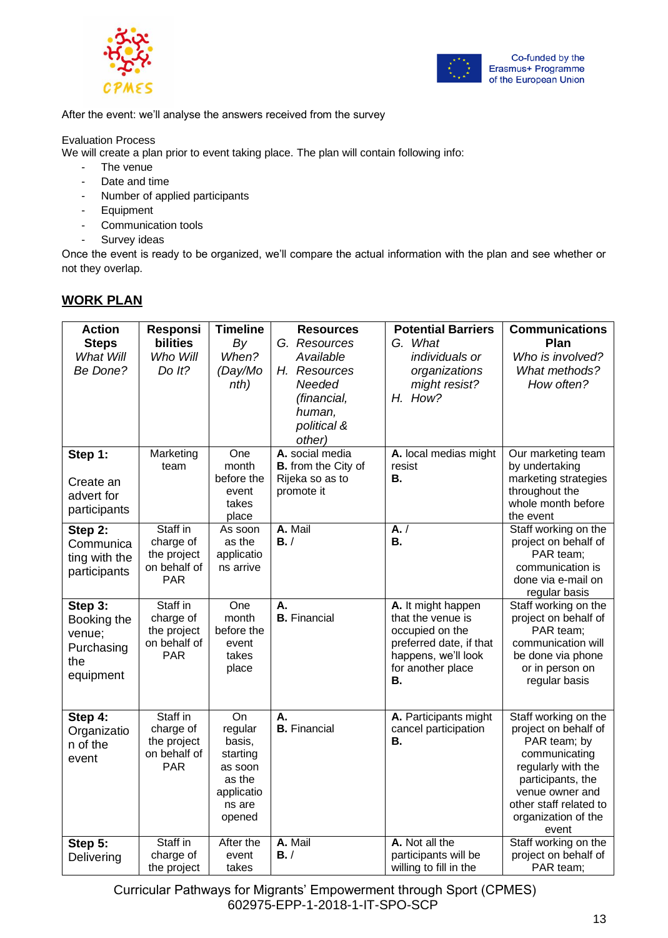



After the event: we'll analyse the answers received from the survey

# Evaluation Process

We will create a plan prior to event taking place. The plan will contain following info:

- The venue
- Date and time
- Number of applied participants
- Equipment
- Communication tools
- Survey ideas

Once the event is ready to be organized, we'll compare the actual information with the plan and see whether or not they overlap.

# **WORK PLAN**

| <b>Action</b><br><b>Steps</b> | Responsi<br>bilities     | <b>Timeline</b><br>By | <b>Resources</b><br>G. Resources | <b>Potential Barriers</b><br>G. What          | <b>Communications</b><br>Plan                |
|-------------------------------|--------------------------|-----------------------|----------------------------------|-----------------------------------------------|----------------------------------------------|
| What Will                     | Who Will                 | When?                 | Available                        | individuals or                                | Who is involved?                             |
| Be Done?                      | Do It?                   | (Day/Mo               | H. Resources                     | organizations                                 | What methods?                                |
|                               |                          | nth)                  | Needed                           | might resist?                                 | How often?                                   |
|                               |                          |                       | (financial,                      | H. How?                                       |                                              |
|                               |                          |                       | human,                           |                                               |                                              |
|                               |                          |                       | political &                      |                                               |                                              |
|                               |                          |                       | other)                           |                                               |                                              |
| Step 1:                       | Marketing                | One                   | A. social media                  | A. local medias might                         | Our marketing team                           |
|                               | team                     | month                 | <b>B.</b> from the City of       | resist                                        | by undertaking                               |
| Create an                     |                          | before the            | Rijeka so as to                  | <b>B.</b>                                     | marketing strategies                         |
| advert for                    |                          | event                 | promote it                       |                                               | throughout the                               |
| participants                  |                          | takes                 |                                  |                                               | whole month before                           |
|                               |                          | place                 |                                  |                                               | the event                                    |
| Step 2:                       | Staff in                 | As soon<br>as the     | A. Mail<br>B. /                  | $\overline{A}$ . /<br>В.                      | Staff working on the                         |
| Communica                     | charge of<br>the project | applicatio            |                                  |                                               | project on behalf of<br>PAR team;            |
| ting with the                 | on behalf of             | ns arrive             |                                  |                                               | communication is                             |
| participants                  | <b>PAR</b>               |                       |                                  |                                               | done via e-mail on                           |
|                               |                          |                       |                                  |                                               | regular basis                                |
| Step 3:                       | Staff in                 | One                   | А.                               | A. It might happen                            | Staff working on the                         |
| Booking the                   | charge of                | month                 | <b>B.</b> Financial              | that the venue is                             | project on behalf of                         |
| venue;                        | the project              | before the            |                                  | occupied on the                               | PAR team;                                    |
| Purchasing                    | on behalf of             | event                 |                                  | preferred date, if that                       | communication will                           |
| the                           | <b>PAR</b>               | takes                 |                                  | happens, we'll look                           | be done via phone                            |
| equipment                     |                          | place                 |                                  | for another place<br>В.                       | or in person on                              |
|                               |                          |                       |                                  |                                               | regular basis                                |
|                               |                          |                       |                                  |                                               |                                              |
| Step 4:                       | Staff in<br>charge of    | On<br>regular         | А.<br><b>B.</b> Financial        | A. Participants might<br>cancel participation | Staff working on the<br>project on behalf of |
| Organizatio<br>n of the       | the project              | basis,                |                                  | В.                                            | PAR team; by                                 |
|                               | on behalf of             | starting              |                                  |                                               | communicating                                |
| event                         | <b>PAR</b>               | as soon               |                                  |                                               | regularly with the                           |
|                               |                          | as the                |                                  |                                               | participants, the                            |
|                               |                          | applicatio            |                                  |                                               | venue owner and                              |
|                               |                          | ns are                |                                  |                                               | other staff related to                       |
|                               |                          | opened                |                                  |                                               | organization of the                          |
|                               |                          |                       |                                  |                                               | event                                        |
| Step 5:                       | Staff in                 | After the             | A. Mail<br>B. /                  | A. Not all the<br>participants will be        | Staff working on the<br>project on behalf of |
| Delivering                    | charge of<br>the project | event<br>takes        |                                  | willing to fill in the                        | PAR team;                                    |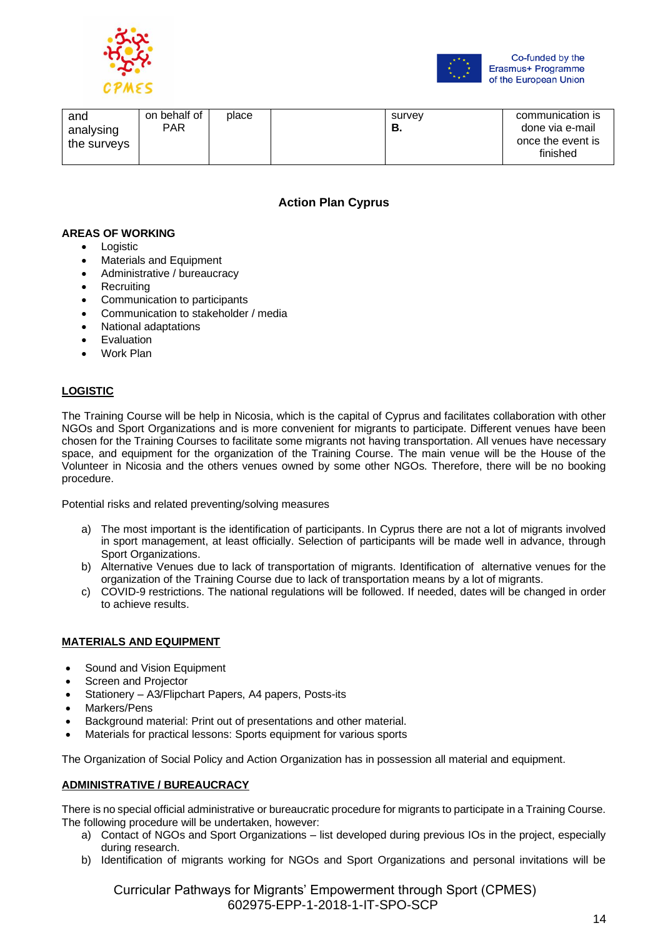



| and<br>analysing<br>the surveys | on behalf of<br><b>PAR</b> | place |  | survev<br>о. | communication is<br>done via e-mail<br>once the event is<br>finished |
|---------------------------------|----------------------------|-------|--|--------------|----------------------------------------------------------------------|
|---------------------------------|----------------------------|-------|--|--------------|----------------------------------------------------------------------|

# **Action Plan Cyprus**

#### **AREAS OF WORKING**

- Logistic
- Materials and Equipment
- Administrative / bureaucracy
- **Recruiting**
- Communication to participants
- Communication to stakeholder / media
- National adaptations
- **Evaluation**
- Work Plan

# **LOGISTIC**

The Training Course will be help in Nicosia, which is the capital of Cyprus and facilitates collaboration with other NGOs and Sport Organizations and is more convenient for migrants to participate. Different venues have been chosen for the Training Courses to facilitate some migrants not having transportation. All venues have necessary space, and equipment for the organization of the Training Course. The main venue will be the House of the Volunteer in Nicosia and the others venues owned by some other NGOs. Therefore, there will be no booking procedure.

Potential risks and related preventing/solving measures

- a) The most important is the identification of participants. In Cyprus there are not a lot of migrants involved in sport management, at least officially. Selection of participants will be made well in advance, through Sport Organizations.
- b) Alternative Venues due to lack of transportation of migrants. Identification of alternative venues for the organization of the Training Course due to lack of transportation means by a lot of migrants.
- c) COVID-9 restrictions. The national regulations will be followed. If needed, dates will be changed in order to achieve results.

# **MATERIALS AND EQUIPMENT**

- Sound and Vision Equipment
- Screen and Projector
- Stationery A3/Flipchart Papers, A4 papers, Posts-its
- Markers/Pens
- Background material: Print out of presentations and other material.
- Materials for practical lessons: Sports equipment for various sports

The Organization of Social Policy and Action Organization has in possession all material and equipment.

# **ADMINISTRATIVE / BUREAUCRACY**

There is no special official administrative or bureaucratic procedure for migrants to participate in a Training Course. The following procedure will be undertaken, however:

- a) Contact of NGOs and Sport Organizations list developed during previous IOs in the project, especially during research.
- b) Identification of migrants working for NGOs and Sport Organizations and personal invitations will be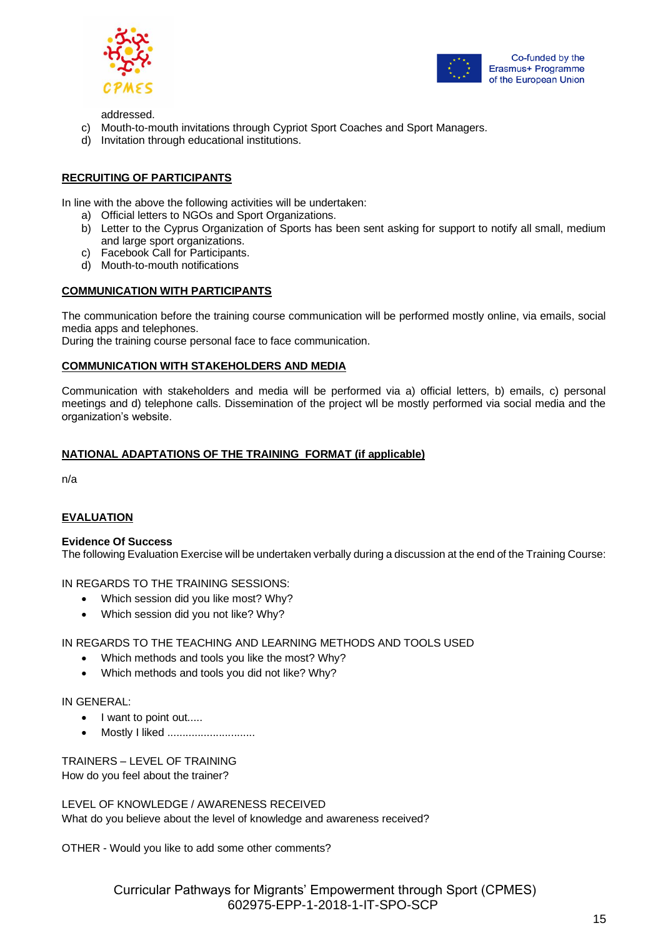



addressed.

- c) Mouth-to-mouth invitations through Cypriot Sport Coaches and Sport Managers.
- d) Invitation through educational institutions.

# **RECRUITING OF PARTICIPANTS**

In line with the above the following activities will be undertaken:

- a) Official letters to NGOs and Sport Organizations.
- b) Letter to the Cyprus Organization of Sports has been sent asking for support to notify all small, medium and large sport organizations.
- c) Facebook Call for Participants.
- d) Mouth-to-mouth notifications

# **COMMUNICATION WITH PARTICIPANTS**

The communication before the training course communication will be performed mostly online, via emails, social media apps and telephones.

During the training course personal face to face communication.

# **COMMUNICATION WITH STAKEHOLDERS AND MEDIA**

Communication with stakeholders and media will be performed via a) official letters, b) emails, c) personal meetings and d) telephone calls. Dissemination of the project wll be mostly performed via social media and the organization's website.

# **NATIONAL ADAPTATIONS OF THE TRAINING FORMAT (if applicable)**

n/a

# **EVALUATION**

#### **Evidence Of Success**

The following Evaluation Exercise will be undertaken verbally during a discussion at the end of the Training Course:

IN REGARDS TO THE TRAINING SESSIONS:

- Which session did you like most? Why?
- Which session did you not like? Why?

# IN REGARDS TO THE TEACHING AND LEARNING METHODS AND TOOLS USED

- Which methods and tools you like the most? Why?
- Which methods and tools you did not like? Why?

IN GENERAL:

- I want to point out.....
- Mostly I liked ..............................

TRAINERS – LEVEL OF TRAINING How do you feel about the trainer?

LEVEL OF KNOWLEDGE / AWARENESS RECEIVED What do you believe about the level of knowledge and awareness received?

OTHER - Would you like to add some other comments?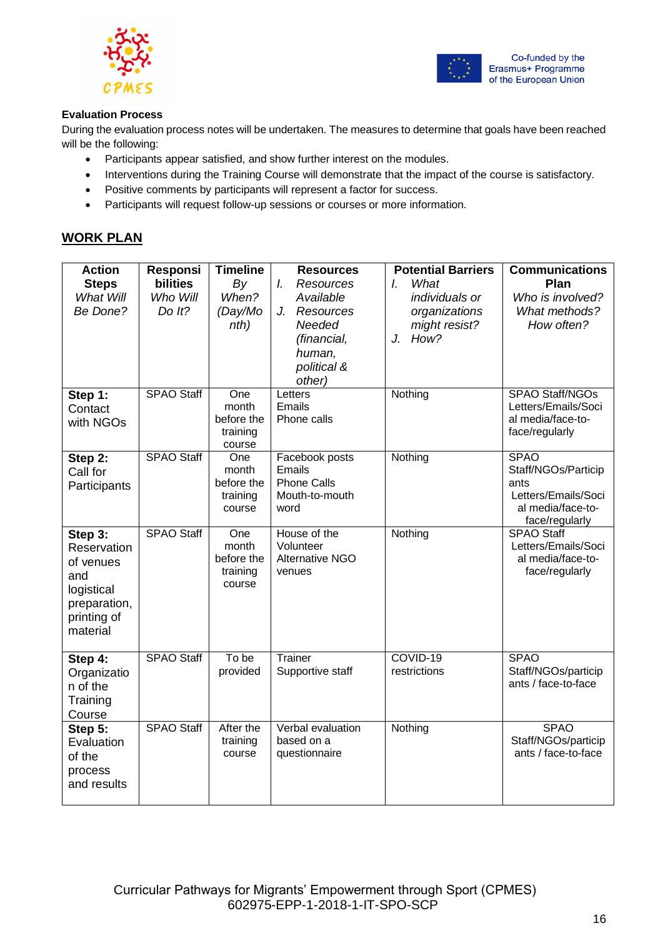



# **Evaluation Process**

During the evaluation process notes will be undertaken. The measures to determine that goals have been reached will be the following:

- Participants appear satisfied, and show further interest on the modules.
- Interventions during the Training Course will demonstrate that the impact of the course is satisfactory.
- Positive comments by participants will represent a factor for success.
- Participants will request follow-up sessions or courses or more information.

# **WORK PLAN**

| <b>Action</b><br><b>Steps</b><br>What Will<br>Be Done?                                              | Responsi<br><b>bilities</b><br>Who Will<br>Do It? | <b>Timeline</b><br>By<br>When?<br>(Day/Mo<br>nth) | <b>Resources</b><br><b>Resources</b><br>I.<br>Available<br>Resources<br>J.<br>Needed<br>(financial,<br>human,<br>political &<br>other) | <b>Potential Barriers</b><br>What<br>L<br>individuals or<br>organizations<br>might resist?<br>How?<br>J. | <b>Communications</b><br>Plan<br>Who is involved?<br>What methods?<br>How often?                         |
|-----------------------------------------------------------------------------------------------------|---------------------------------------------------|---------------------------------------------------|----------------------------------------------------------------------------------------------------------------------------------------|----------------------------------------------------------------------------------------------------------|----------------------------------------------------------------------------------------------------------|
| Step 1:<br>Contact<br>with NGOs                                                                     | <b>SPAO Staff</b>                                 | One<br>month<br>before the<br>training<br>course  | Letters<br>Emails<br>Phone calls                                                                                                       | Nothing                                                                                                  | SPAO Staff/NGOs<br>Letters/Emails/Soci<br>al media/face-to-<br>face/regularly                            |
| Step 2:<br>Call for<br>Participants                                                                 | <b>SPAO Staff</b>                                 | One<br>month<br>before the<br>training<br>course  | Facebook posts<br>Emails<br><b>Phone Calls</b><br>Mouth-to-mouth<br>word                                                               | Nothing                                                                                                  | <b>SPAO</b><br>Staff/NGOs/Particip<br>ants<br>Letters/Emails/Soci<br>al media/face-to-<br>face/regularly |
| Step 3:<br>Reservation<br>of venues<br>and<br>logistical<br>preparation,<br>printing of<br>material | <b>SPAO Staff</b>                                 | One<br>month<br>before the<br>training<br>course  | House of the<br>Volunteer<br><b>Alternative NGO</b><br>venues                                                                          | Nothing                                                                                                  | <b>SPAO Staff</b><br>Letters/Emails/Soci<br>al media/face-to-<br>face/regularly                          |
| Step 4:<br>Organizatio<br>n of the<br>Training<br>Course                                            | <b>SPAO Staff</b>                                 | To be<br>provided                                 | Trainer<br>Supportive staff                                                                                                            | COVID-19<br>restrictions                                                                                 | <b>SPAO</b><br>Staff/NGOs/particip<br>ants / face-to-face                                                |
| Step 5:<br>Evaluation<br>of the<br>process<br>and results                                           | <b>SPAO Staff</b>                                 | After the<br>training<br>course                   | Verbal evaluation<br>based on a<br>questionnaire                                                                                       | Nothing                                                                                                  | <b>SPAO</b><br>Staff/NGOs/particip<br>ants / face-to-face                                                |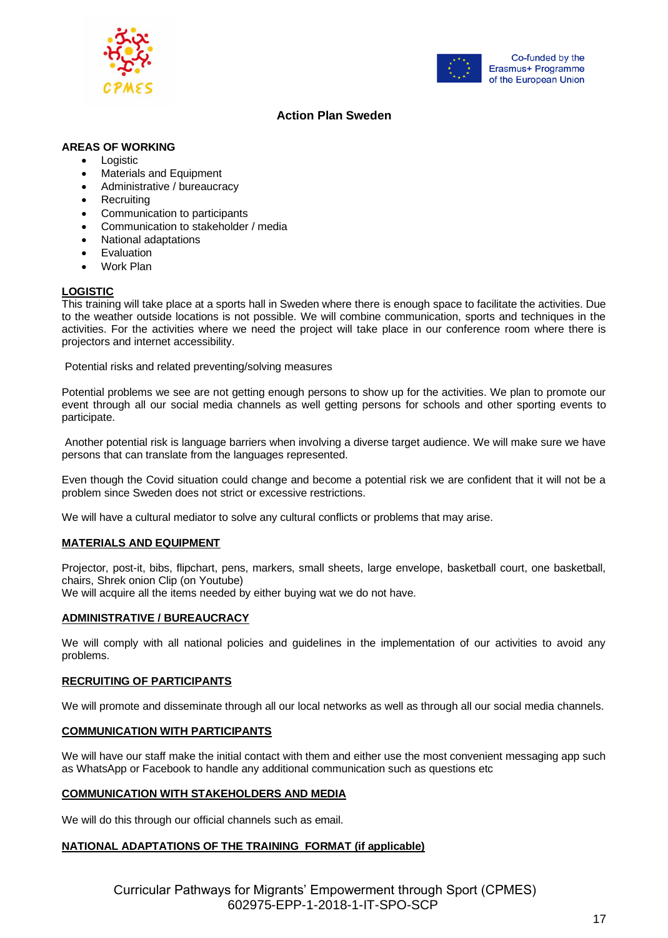



# **Action Plan Sweden**

# **AREAS OF WORKING**

- Logistic
- Materials and Equipment
- Administrative / bureaucracy
- **Recruiting**
- Communication to participants
- Communication to stakeholder / media
- National adaptations
- **Evaluation**
- Work Plan

#### **LOGISTIC**

This training will take place at a sports hall in Sweden where there is enough space to facilitate the activities. Due to the weather outside locations is not possible. We will combine communication, sports and techniques in the activities. For the activities where we need the project will take place in our conference room where there is projectors and internet accessibility.

Potential risks and related preventing/solving measures

Potential problems we see are not getting enough persons to show up for the activities. We plan to promote our event through all our social media channels as well getting persons for schools and other sporting events to participate.

Another potential risk is language barriers when involving a diverse target audience. We will make sure we have persons that can translate from the languages represented.

Even though the Covid situation could change and become a potential risk we are confident that it will not be a problem since Sweden does not strict or excessive restrictions.

We will have a cultural mediator to solve any cultural conflicts or problems that may arise.

# **MATERIALS AND EQUIPMENT**

Projector, post-it, bibs, flipchart, pens, markers, small sheets, large envelope, basketball court, one basketball, chairs, Shrek onion Clip (on Youtube)

We will acquire all the items needed by either buying wat we do not have.

#### **ADMINISTRATIVE / BUREAUCRACY**

We will comply with all national policies and guidelines in the implementation of our activities to avoid any problems.

#### **RECRUITING OF PARTICIPANTS**

We will promote and disseminate through all our local networks as well as through all our social media channels.

#### **COMMUNICATION WITH PARTICIPANTS**

We will have our staff make the initial contact with them and either use the most convenient messaging app such as WhatsApp or Facebook to handle any additional communication such as questions etc

#### **COMMUNICATION WITH STAKEHOLDERS AND MEDIA**

We will do this through our official channels such as email.

# **NATIONAL ADAPTATIONS OF THE TRAINING FORMAT (if applicable)**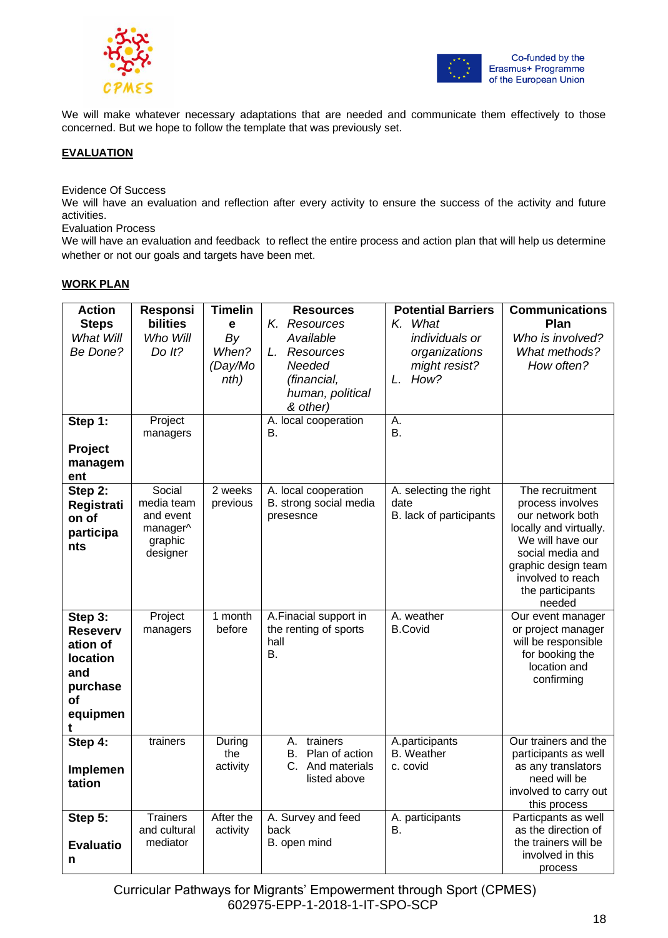



We will make whatever necessary adaptations that are needed and communicate them effectively to those concerned. But we hope to follow the template that was previously set.

# **EVALUATION**

Evidence Of Success

We will have an evaluation and reflection after every activity to ensure the success of the activity and future activities.

Evaluation Process

We will have an evaluation and feedback to reflect the entire process and action plan that will help us determine whether or not our goals and targets have been met.

# **WORK PLAN**

| <b>Action</b>                                                                                       | <b>Responsi</b>                                                      | <b>Timelin</b>                      | <b>Resources</b>                                                           | <b>Potential Barriers</b>                                              | <b>Communications</b>                                                                                                                                                                               |
|-----------------------------------------------------------------------------------------------------|----------------------------------------------------------------------|-------------------------------------|----------------------------------------------------------------------------|------------------------------------------------------------------------|-----------------------------------------------------------------------------------------------------------------------------------------------------------------------------------------------------|
| <b>Steps</b><br>What Will<br>Be Done?                                                               | bilities<br>Who Will<br>Do $lt?$                                     | e<br>By<br>When?<br>(Day/Mo<br>nth) | K. Resources<br>Available<br>L. Resources<br>Needed<br>(financial,         | K. What<br>individuals or<br>organizations<br>might resist?<br>L. How? | Plan<br>Who is involved?<br>What methods?<br>How often?                                                                                                                                             |
|                                                                                                     |                                                                      |                                     | human, political<br>& other)                                               |                                                                        |                                                                                                                                                                                                     |
| Step 1:                                                                                             | Project<br>managers                                                  |                                     | A. local cooperation<br>В.                                                 | Α.<br>В.                                                               |                                                                                                                                                                                                     |
| Project<br>managem<br>ent                                                                           |                                                                      |                                     |                                                                            |                                                                        |                                                                                                                                                                                                     |
| Step 2:<br>Registrati<br>on of<br>participa<br>nts                                                  | Social<br>media team<br>and event<br>manager^<br>graphic<br>designer | 2 weeks<br>previous                 | A. local cooperation<br>B. strong social media<br>presesnce                | A. selecting the right<br>date<br>B. lack of participants              | The recruitment<br>process involves<br>our network both<br>locally and virtually.<br>We will have our<br>social media and<br>graphic design team<br>involved to reach<br>the participants<br>needed |
| Step 3:<br><b>Reseverv</b><br>ation of<br><b>location</b><br>and<br>purchase<br>оf<br>equipmen<br>t | Project<br>managers                                                  | 1 month<br>before                   | A.Finacial support in<br>the renting of sports<br>hall<br>В.               | A. weather<br><b>B.Covid</b>                                           | Our event manager<br>or project manager<br>will be responsible<br>for booking the<br>location and<br>confirming                                                                                     |
| Step 4:<br>Implemen<br>tation                                                                       | trainers                                                             | During<br>the<br>activity           | А.<br>trainers<br>Plan of action<br>В.<br>C. And materials<br>listed above | A.participants<br><b>B.</b> Weather<br>c. covid                        | Our trainers and the<br>participants as well<br>as any translators<br>need will be<br>involved to carry out<br>this process                                                                         |
| Step 5:<br><b>Evaluatio</b><br>n                                                                    | <b>Trainers</b><br>and cultural<br>mediator                          | After the<br>activity               | A. Survey and feed<br>back<br>B. open mind                                 | A. participants<br>В.                                                  | Particpants as well<br>as the direction of<br>the trainers will be<br>involved in this<br>process                                                                                                   |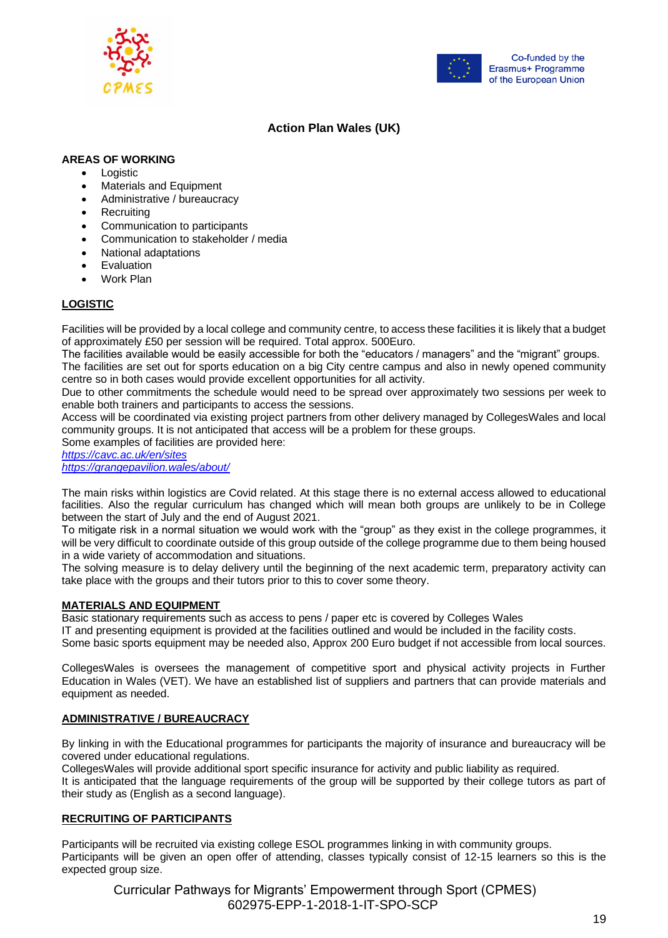



# **Action Plan Wales (UK)**

# **AREAS OF WORKING**

- Logistic
- Materials and Equipment
- Administrative / bureaucracy
- **Recruiting**
- Communication to participants
- Communication to stakeholder / media
- National adaptations
- **Evaluation**
- Work Plan

# **LOGISTIC**

Facilities will be provided by a local college and community centre, to access these facilities it is likely that a budget of approximately £50 per session will be required. Total approx. 500Euro.

The facilities available would be easily accessible for both the "educators / managers" and the "migrant" groups. The facilities are set out for sports education on a big City centre campus and also in newly opened community

centre so in both cases would provide excellent opportunities for all activity.

Due to other commitments the schedule would need to be spread over approximately two sessions per week to enable both trainers and participants to access the sessions.

Access will be coordinated via existing project partners from other delivery managed by CollegesWales and local community groups. It is not anticipated that access will be a problem for these groups.

Some examples of facilities are provided here:

*<https://cavc.ac.uk/en/sites> <https://grangepavilion.wales/about/>*

The main risks within logistics are Covid related. At this stage there is no external access allowed to educational facilities. Also the regular curriculum has changed which will mean both groups are unlikely to be in College between the start of July and the end of August 2021.

To mitigate risk in a normal situation we would work with the "group" as they exist in the college programmes, it will be very difficult to coordinate outside of this group outside of the college programme due to them being housed in a wide variety of accommodation and situations.

The solving measure is to delay delivery until the beginning of the next academic term, preparatory activity can take place with the groups and their tutors prior to this to cover some theory.

# **MATERIALS AND EQUIPMENT**

Basic stationary requirements such as access to pens / paper etc is covered by Colleges Wales IT and presenting equipment is provided at the facilities outlined and would be included in the facility costs. Some basic sports equipment may be needed also, Approx 200 Euro budget if not accessible from local sources.

CollegesWales is oversees the management of competitive sport and physical activity projects in Further Education in Wales (VET). We have an established list of suppliers and partners that can provide materials and equipment as needed.

# **ADMINISTRATIVE / BUREAUCRACY**

By linking in with the Educational programmes for participants the majority of insurance and bureaucracy will be covered under educational regulations.

CollegesWales will provide additional sport specific insurance for activity and public liability as required. It is anticipated that the language requirements of the group will be supported by their college tutors as part of their study as (English as a second language).

# **RECRUITING OF PARTICIPANTS**

Participants will be recruited via existing college ESOL programmes linking in with community groups. Participants will be given an open offer of attending, classes typically consist of 12-15 learners so this is the expected group size.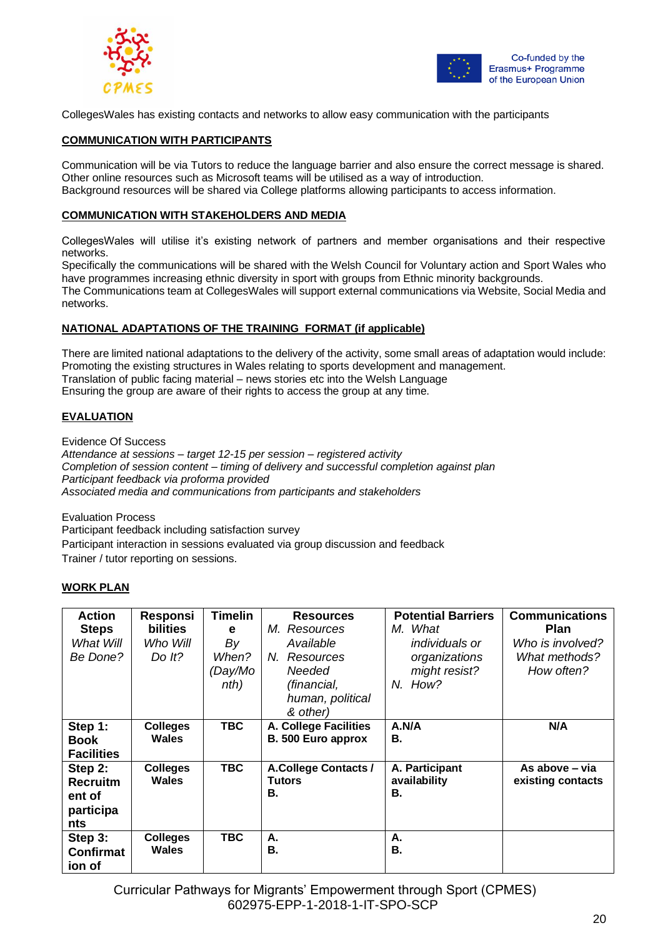



CollegesWales has existing contacts and networks to allow easy communication with the participants

#### **COMMUNICATION WITH PARTICIPANTS**

Communication will be via Tutors to reduce the language barrier and also ensure the correct message is shared. Other online resources such as Microsoft teams will be utilised as a way of introduction. Background resources will be shared via College platforms allowing participants to access information.

#### **COMMUNICATION WITH STAKEHOLDERS AND MEDIA**

CollegesWales will utilise it's existing network of partners and member organisations and their respective networks.

Specifically the communications will be shared with the Welsh Council for Voluntary action and Sport Wales who have programmes increasing ethnic diversity in sport with groups from Ethnic minority backgrounds.

The Communications team at CollegesWales will support external communications via Website, Social Media and networks.

# **NATIONAL ADAPTATIONS OF THE TRAINING FORMAT (if applicable)**

There are limited national adaptations to the delivery of the activity, some small areas of adaptation would include: Promoting the existing structures in Wales relating to sports development and management. Translation of public facing material – news stories etc into the Welsh Language Ensuring the group are aware of their rights to access the group at any time.

# **EVALUATION**

Evidence Of Success

*Attendance at sessions – target 12-15 per session – registered activity Completion of session content – timing of delivery and successful completion against plan Participant feedback via proforma provided Associated media and communications from participants and stakeholders*

Evaluation Process

Participant feedback including satisfaction survey Participant interaction in sessions evaluated via group discussion and feedback Trainer / tutor reporting on sessions.

# **WORK PLAN**

| <b>Action</b><br><b>Steps</b><br>What Will<br>Be Done?   | Responsi<br><b>bilities</b><br>Who Will<br>Do It? | <b>Timelin</b><br>е<br>By<br>When?<br>(Day/Mo<br>nth) | <b>Resources</b><br>M. Resources<br>Available<br>N.<br>Resources<br>Needed<br>(financial,<br>human, political<br>& other) | <b>Potential Barriers</b><br>M. What<br><i>individuals or</i><br>organizations<br>might resist?<br>N. How? | <b>Communications</b><br>Plan<br>Who is involved?<br>What methods?<br>How often? |
|----------------------------------------------------------|---------------------------------------------------|-------------------------------------------------------|---------------------------------------------------------------------------------------------------------------------------|------------------------------------------------------------------------------------------------------------|----------------------------------------------------------------------------------|
| Step 1:<br><b>Book</b><br><b>Facilities</b>              | <b>Colleges</b><br>Wales                          | <b>TBC</b>                                            | A. College Facilities<br>B. 500 Euro approx                                                                               | A.N/A<br>В.                                                                                                | N/A                                                                              |
| Step 2:<br><b>Recruitm</b><br>ent of<br>participa<br>nts | <b>Colleges</b><br>Wales                          | <b>TBC</b>                                            | <b>A.College Contacts /</b><br><b>Tutors</b><br>В.                                                                        | A. Participant<br>availability<br>В.                                                                       | As above – via<br>existing contacts                                              |
| Step 3:<br><b>Confirmat</b><br>ion of                    | <b>Colleges</b><br>Wales                          | <b>TBC</b>                                            | А.<br>В.                                                                                                                  | А.<br>В.                                                                                                   |                                                                                  |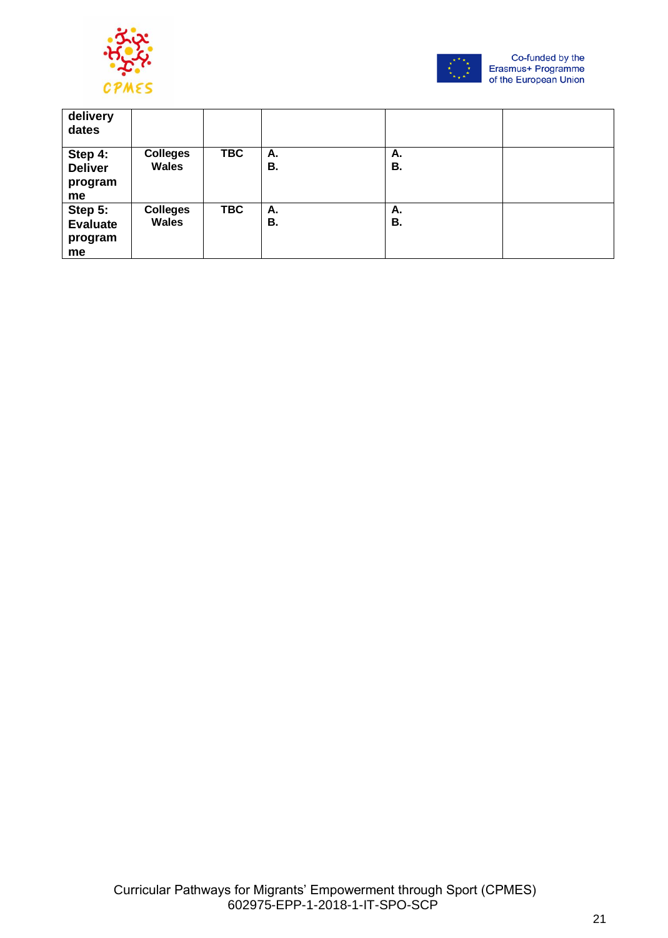



| delivery<br>dates                           |                                 |            |          |          |  |
|---------------------------------------------|---------------------------------|------------|----------|----------|--|
| Step 4:<br><b>Deliver</b><br>program<br>me  | <b>Colleges</b><br><b>Wales</b> | <b>TBC</b> | Α.<br>В. | А.<br>В. |  |
| Step 5:<br><b>Evaluate</b><br>program<br>me | <b>Colleges</b><br><b>Wales</b> | <b>TBC</b> | Α.<br>В. | А.<br>В. |  |